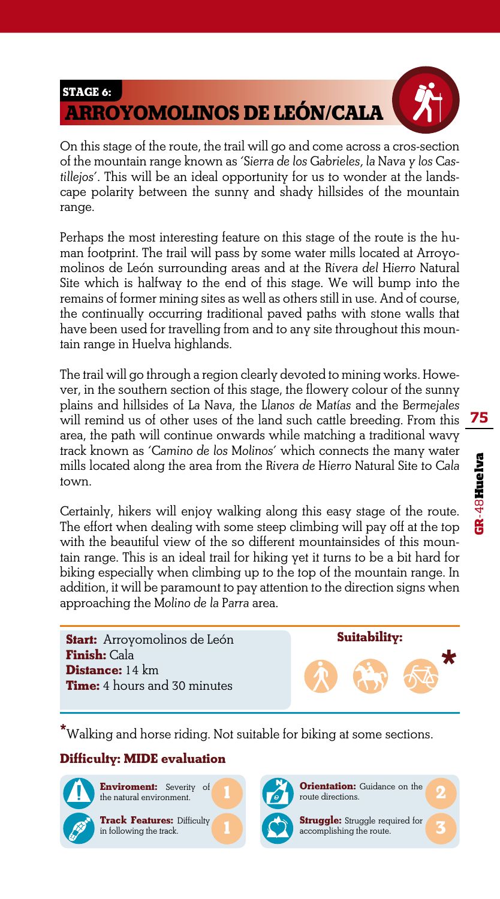

On this stage of the route, the trail will go and come across a cros-section of the mountain range known as *'Sierra de los Gabrieles, la Nava y los Castillejos'*. This will be an ideal opportunity for us to wonder at the landscape polarity between the sunny and shady hillsides of the mountain range.

Perhaps the most interesting feature on this stage of the route is the human footprint. The trail will pass by some water mills located at Arroyomolinos de León surrounding areas and at the *Rivera del Hierro* Natural Site which is halfway to the end of this stage. We will bump into the remains of former mining sites as well as others still in use. And of course, the continually occurring traditional paved paths with stone walls that have been used for travelling from and to any site throughout this mountain range in Huelva highlands.

The trail will go through a region clearly devoted to mining works. However, in the southern section of this stage, the flowery colour of the sunny plains and hillsides of *La Nava*, the *Llanos de Matías* and the *Bermejales*  will remind us of other uses of the land such cattle breeding. From this area, the path will continue onwards while matching a traditional wavy track known as *'Camino de los Molinos'* which connects the many water mills located along the area from the *Rivera de Hierro* Natural Site to *Cala* town.

Certainly, hikers will enjoy walking along this easy stage of the route. The effort when dealing with some steep climbing will pay off at the top with the beautiful view of the so different mountainsides of this mountain range. This is an ideal trail for hiking yet it turns to be a bit hard for biking especially when climbing up to the top of the mountain range. In addition, it will be paramount to pay attention to the direction signs when approaching the *Molino de la Parra* area.

**Start:** Arroyomolinos de León **Finish:** Cala **Distance:** 14 km **Time:** 4 hours and 30 minutes

**Suitability:**

**3**

**\***Walking and horse riding. Not suitable for biking at some sections.

## **Difficulty: MIDE evaluation**



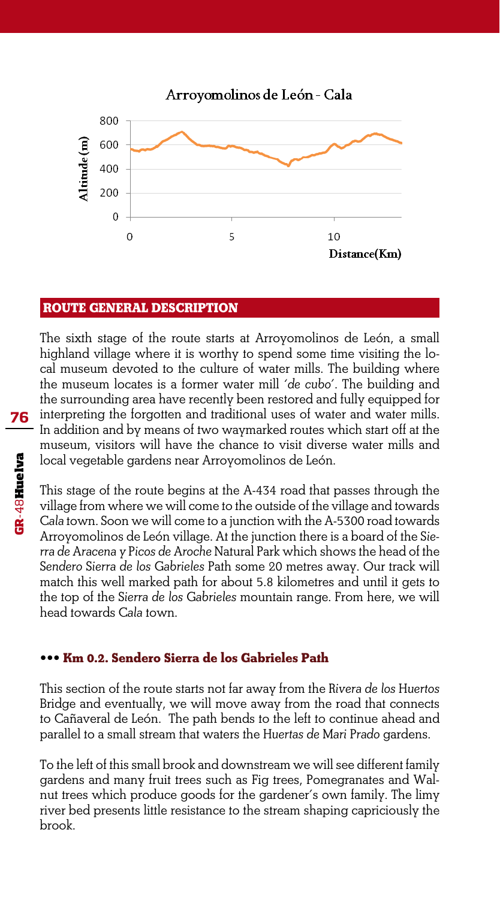Arroyomolinos de León - Cala



#### **ROUTE GENERAL DESCRIPTION**

The sixth stage of the route starts at Arroyomolinos de León, a small highland village where it is worthy to spend some time visiting the local museum devoted to the culture of water mills. The building where the museum locates is a former water mill *'de cubo'*. The building and the surrounding area have recently been restored and fully equipped for interpreting the forgotten and traditional uses of water and water mills. In addition and by means of two waymarked routes which start off at the museum, visitors will have the chance to visit diverse water mills and local vegetable gardens near Arroyomolinos de León.

This stage of the route begins at the A-434 road that passes through the village from where we will come to the outside of the village and towards *Cala* town. Soon we will come to a junction with the A-5300 road towards Arroyomolinos de León village. At the junction there is a board of the *Sierra de Aracena y Picos de Aroche* Natural Park which shows the head of the *Sendero Sierra de los Gabrieles* Path some 20 metres away. Our track will match this well marked path for about 5.8 kilometres and until it gets to the top of the *Sierra de los Gabrieles* mountain range. From here, we will head towards *Cala* town.

## **••• Km 0.2. Sendero Sierra de los Gabrieles Path**

This section of the route starts not far away from the *Rivera de los Huertos* Bridge and eventually, we will move away from the road that connects to Cañaveral de León. The path bends to the left to continue ahead and parallel to a small stream that waters the *Huertas de Mari Prado* gardens.

To the left of this small brook and downstream we will see different family gardens and many fruit trees such as Fig trees, Pomegranates and Walnut trees which produce goods for the gardener's own family. The limy river bed presents little resistance to the stream shaping capriciously the brook.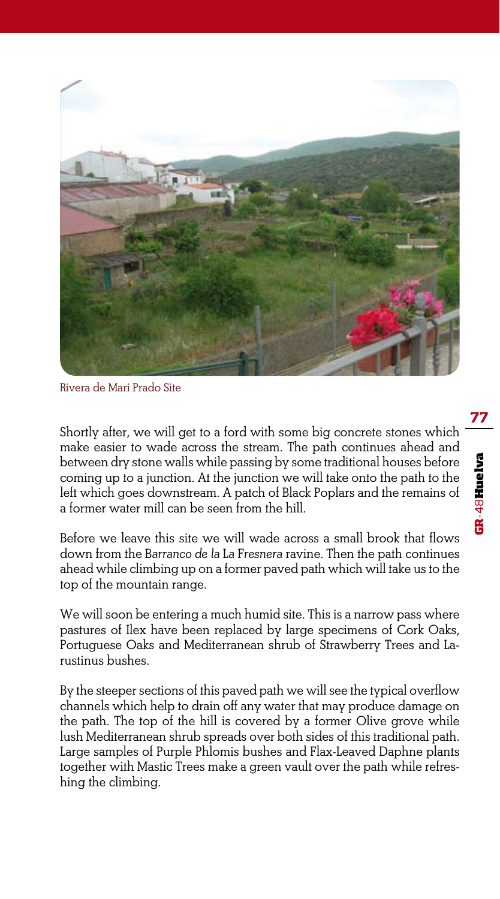

Rivera de Mari Prado Site

Shortly after, we will get to a ford with some big concrete stones which make easier to wade across the stream. The path continues ahead and between dry stone walls while passing by some traditional houses before coming up to a junction. At the junction we will take onto the path to the left which goes downstream. A patch of Black Poplars and the remains of a former water mill can be seen from the hill.

Before we leave this site we will wade across a small brook that flows down from the *Barranco de la La Fresnera* ravine. Then the path continues ahead while climbing up on a former paved path which will take us to the top of the mountain range.

We will soon be entering a much humid site. This is a narrow pass where pastures of Ilex have been replaced by large specimens of Cork Oaks, Portuguese Oaks and Mediterranean shrub of Strawberry Trees and Larustinus bushes.

By the steeper sections of this paved path we will see the typical overflow channels which help to drain off any water that may produce damage on the path. The top of the hill is covered by a former Olive grove while lush Mediterranean shrub spreads over both sides of this traditional path. Large samples of Purple Phlomis bushes and Flax-Leaved Daphne plants together with Mastic Trees make a green vault over the path while refreshing the climbing.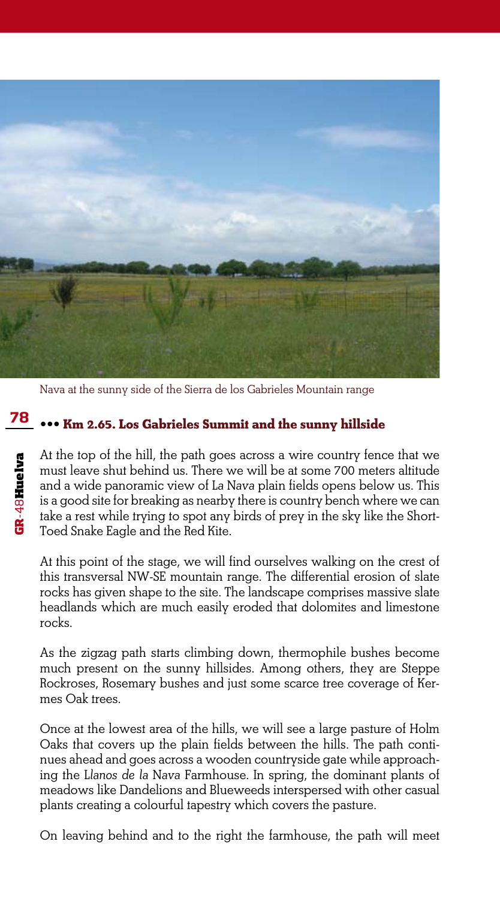

Nava at the sunny side of the Sierra de los Gabrieles Mountain range

# **<sup>78</sup> ••• Km 2.65. Los Gabrieles Summit and the sunny hillside**

At the top of the hill, the path goes across a wire country fence that we must leave shut behind us. There we will be at some 700 meters altitude and a wide panoramic view of *La Nava* plain fields opens below us. This is a good site for breaking as nearby there is country bench where we can take a rest while trying to spot any birds of prey in the sky like the Short-Toed Snake Eagle and the Red Kite.

At this point of the stage, we will find ourselves walking on the crest of this transversal NW-SE mountain range. The differential erosion of slate rocks has given shape to the site. The landscape comprises massive slate headlands which are much easily eroded that dolomites and limestone rocks.

As the zigzag path starts climbing down, thermophile bushes become much present on the sunny hillsides. Among others, they are Steppe Rockroses, Rosemary bushes and just some scarce tree coverage of Kermes Oak trees.

Once at the lowest area of the hills, we will see a large pasture of Holm Oaks that covers up the plain fields between the hills. The path continues ahead and goes across a wooden countryside gate while approaching the *Llanos de la Nava* Farmhouse. In spring, the dominant plants of meadows like Dandelions and Blueweeds interspersed with other casual plants creating a colourful tapestry which covers the pasture.

On leaving behind and to the right the farmhouse, the path will meet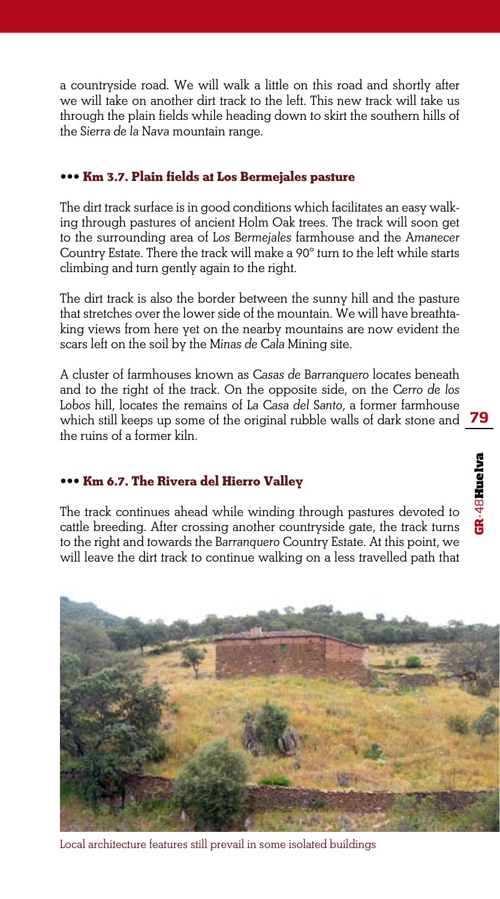a countryside road. We will walk a little on this road and shortly after we will take on another dirt track to the left. This new track will take us through the plain fields while heading down to skirt the southern hills of the *Sierra de la Nava* mountain range.

#### **••• Km 3.7. Plain fields at Los Bermejales pasture**

The dirt track surface is in good conditions which facilitates an easy walking through pastures of ancient Holm Oak trees. The track will soon get to the surrounding area of *Los Bermejales* farmhouse and the *Amanecer* Country Estate. There the track will make a 90º turn to the left while starts climbing and turn gently again to the right.

The dirt track is also the border between the sunny hill and the pasture that stretches over the lower side of the mountain. We will have breathtaking views from here yet on the nearby mountains are now evident the scars left on the soil by the *Minas de Cala* Mining site.

A cluster of farmhouses known as *Casas de Barranquero* locates beneath and to the right of the track. On the opposite side, on the *Cerro de los Lobos* hill, locates the remains of *La Casa del Santo*, a former farmhouse which still keeps up some of the original rubble walls of dark stone and the ruins of a former kiln.

#### **••• Km 6.7. The Rivera del Hierro Valley**

The track continues ahead while winding through pastures devoted to cattle breeding. After crossing another countryside gate, the track turns to the right and towards the *Barranquero* Country Estate. At this point, we will leave the dirt track to continue walking on a less travelled path that



Local architecture features still prevail in some isolated buildings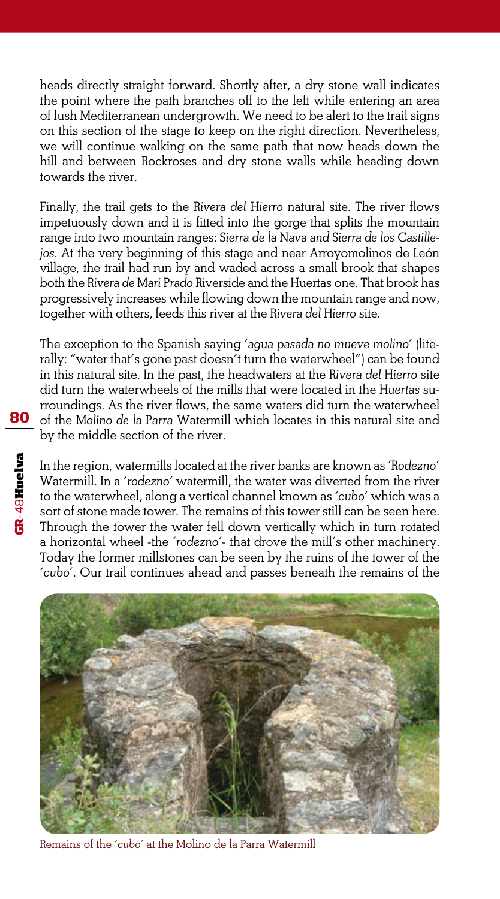heads directly straight forward. Shortly after, a dry stone wall indicates the point where the path branches off to the left while entering an area of lush Mediterranean undergrowth. We need to be alert to the trail signs on this section of the stage to keep on the right direction. Nevertheless, we will continue walking on the same path that now heads down the hill and between Rockroses and dry stone walls while heading down towards the river.

Finally, the trail gets to the *Rivera del Hierro* natural site. The river flows impetuously down and it is fitted into the gorge that splits the mountain range into two mountain ranges: *Sierra de la Nava and Sierra de los Castillejos*. At the very beginning of this stage and near Arroyomolinos de León village, the trail had run by and waded across a small brook that shapes both the *Rivera de Mari Prado* Riverside and the Huertas one. That brook has progressively increases while flowing down the mountain range and now, together with others, feeds this river at the *Rivera del Hierro* site.

The exception to the Spanish saying *'agua pasada no mueve molino*' (literally: "water that's gone past doesn't turn the waterwheel") can be found in this natural site. In the past, the headwaters at the *Rivera del Hierro* site did turn the waterwheels of the mills that were located in the *Huertas* surroundings. As the river flows, the same waters did turn the waterwheel of the *Molino de la Parra* Watermill which locates in this natural site and by the middle section of the river.

In the region, watermills located at the river banks are known as *'Rodezno'*  Watermill. In a *'rodezno*' watermill, the water was diverted from the river to the waterwheel, along a vertical channel known as *'cubo*' which was a sort of stone made tower. The remains of this tower still can be seen here. Through the tower the water fell down vertically which in turn rotated a horizontal wheel -the *'rodezno*'- that drove the mill's other machinery. Today the former millstones can be seen by the ruins of the tower of the *'cubo'*. Our trail continues ahead and passes beneath the remains of the



Remains of the *'cubo'* at the Molino de la Parra Watermill

**GR**-48Huelva

GR-48Huelva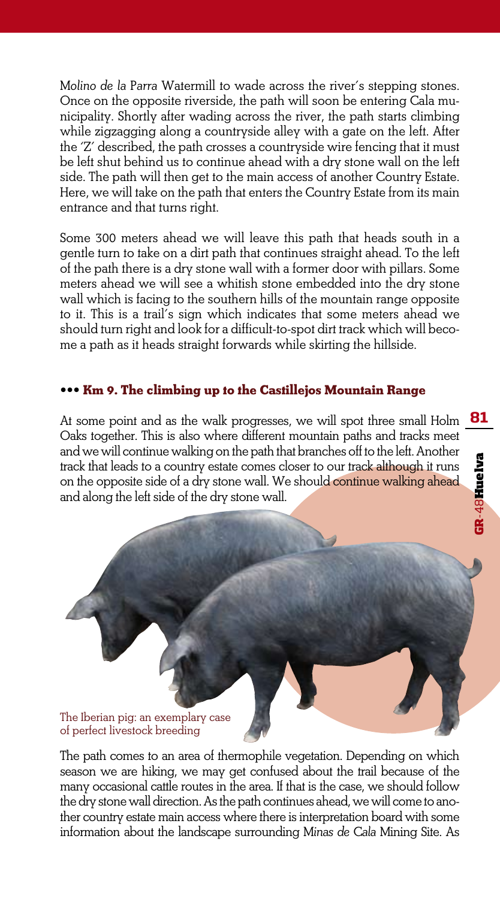*Molino de la Parra* Watermill to wade across the river's stepping stones. Once on the opposite riverside, the path will soon be entering Cala municipality. Shortly after wading across the river, the path starts climbing while zigzagging along a countryside alley with a gate on the left. After the 'Z' described, the path crosses a countryside wire fencing that it must be left shut behind us to continue ahead with a dry stone wall on the left side. The path will then get to the main access of another Country Estate. Here, we will take on the path that enters the Country Estate from its main entrance and that turns right.

Some 300 meters ahead we will leave this path that heads south in a gentle turn to take on a dirt path that continues straight ahead. To the left of the path there is a dry stone wall with a former door with pillars. Some meters ahead we will see a whitish stone embedded into the dry stone wall which is facing to the southern hills of the mountain range opposite to it. This is a trail's sign which indicates that some meters ahead we should turn right and look for a difficult-to-spot dirt track which will become a path as it heads straight forwards while skirting the hillside.

## **••• Km 9. The climbing up to the Castillejos Mountain Range**

At some point and as the walk progresses, we will spot three small Holm Oaks together. This is also where different mountain paths and tracks meet and we will continue walking on the path that branches off to the left. Another track that leads to a country estate comes closer to our track although it runs on the opposite side of a dry stone wall. We should continue walking ahead and along the left side of the dry stone wall.



The path comes to an area of thermophile vegetation. Depending on which season we are hiking, we may get confused about the trail because of the many occasional cattle routes in the area. If that is the case, we should follow the dry stone wall direction. As the path continues ahead, we will come to another country estate main access where there is interpretation board with some information about the landscape surrounding *Minas de Cala* Mining Site. As